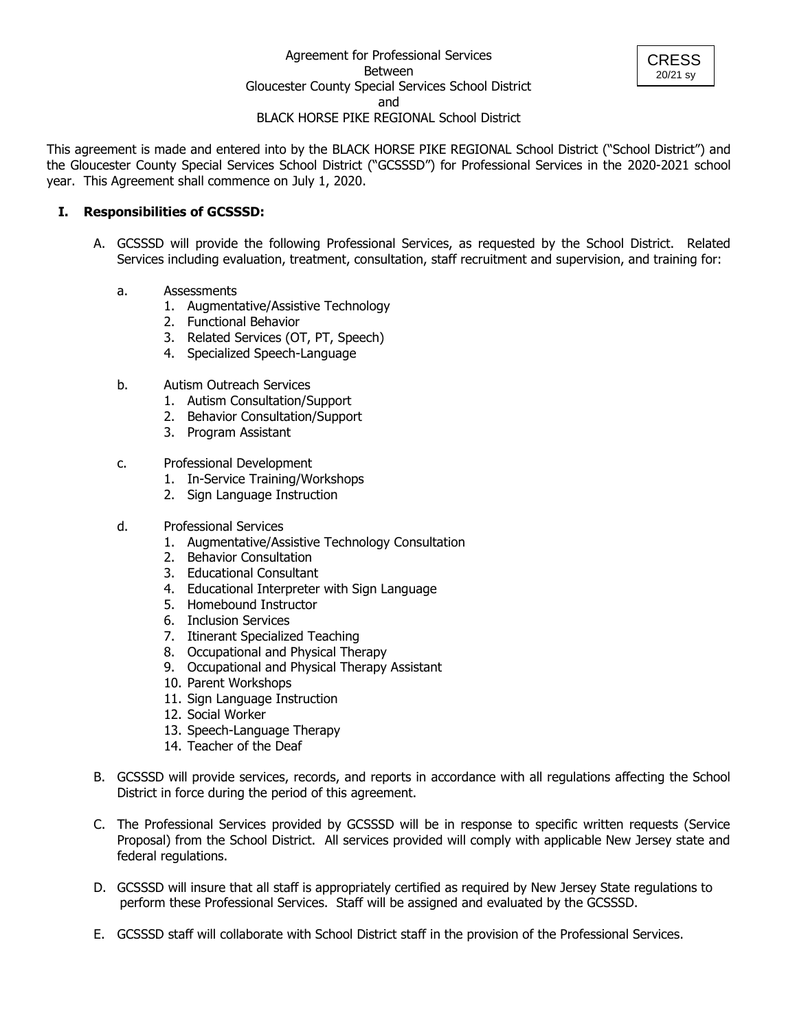

This agreement is made and entered into by the BLACK HORSE PIKE REGIONAL School District ("School District") and the Gloucester County Special Services School District ("GCSSSD") for Professional Services in the 2020-2021 school year. This Agreement shall commence on July 1, 2020.

## **I. Responsibilities of GCSSSD:**

- A. GCSSSD will provide the following Professional Services, as requested by the School District. Related Services including evaluation, treatment, consultation, staff recruitment and supervision, and training for:
	- a. Assessments
		- 1. Augmentative/Assistive Technology
		- 2. Functional Behavior
		- 3. Related Services (OT, PT, Speech)
		- 4. Specialized Speech-Language
	- b. Autism Outreach Services
		- 1. Autism Consultation/Support
		- 2. Behavior Consultation/Support
		- 3. Program Assistant
	- c. Professional Development
		- 1. In-Service Training/Workshops
		- 2. Sign Language Instruction
	- d. Professional Services
		- 1. Augmentative/Assistive Technology Consultation
		- 2. Behavior Consultation
		- 3. Educational Consultant
		- 4. Educational Interpreter with Sign Language
		- 5. Homebound Instructor
		- 6. Inclusion Services
		- 7. Itinerant Specialized Teaching
		- 8. Occupational and Physical Therapy
		- 9. Occupational and Physical Therapy Assistant
		- 10. Parent Workshops
		- 11. Sign Language Instruction
		- 12. Social Worker
		- 13. Speech-Language Therapy
		- 14. Teacher of the Deaf
- B. GCSSSD will provide services, records, and reports in accordance with all regulations affecting the School District in force during the period of this agreement.
- C. The Professional Services provided by GCSSSD will be in response to specific written requests (Service Proposal) from the School District. All services provided will comply with applicable New Jersey state and federal regulations.
- D. GCSSSD will insure that all staff is appropriately certified as required by New Jersey State regulations to perform these Professional Services. Staff will be assigned and evaluated by the GCSSSD.
- E. GCSSSD staff will collaborate with School District staff in the provision of the Professional Services.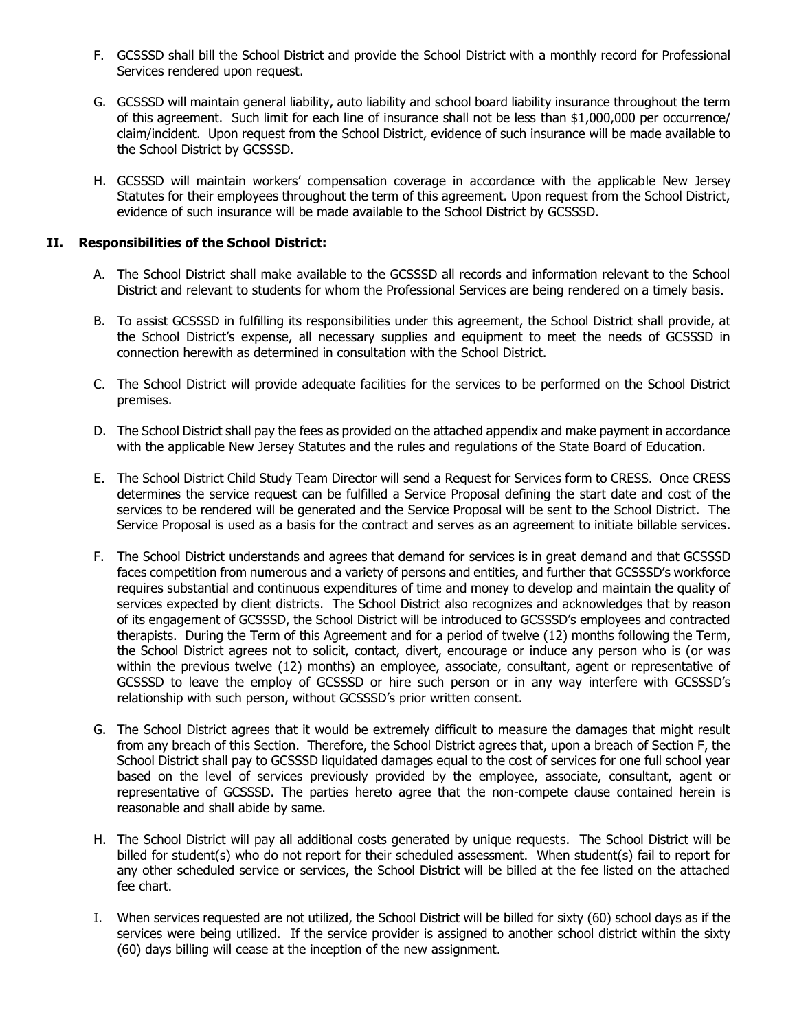- F. GCSSSD shall bill the School District and provide the School District with a monthly record for Professional Services rendered upon request.
- G. GCSSSD will maintain general liability, auto liability and school board liability insurance throughout the term of this agreement. Such limit for each line of insurance shall not be less than \$1,000,000 per occurrence/ claim/incident. Upon request from the School District, evidence of such insurance will be made available to the School District by GCSSSD.
- H. GCSSSD will maintain workers' compensation coverage in accordance with the applicable New Jersey Statutes for their employees throughout the term of this agreement. Upon request from the School District, evidence of such insurance will be made available to the School District by GCSSSD.

# **II. Responsibilities of the School District:**

- A. The School District shall make available to the GCSSSD all records and information relevant to the School District and relevant to students for whom the Professional Services are being rendered on a timely basis.
- B. To assist GCSSSD in fulfilling its responsibilities under this agreement, the School District shall provide, at the School District's expense, all necessary supplies and equipment to meet the needs of GCSSSD in connection herewith as determined in consultation with the School District.
- C. The School District will provide adequate facilities for the services to be performed on the School District premises.
- D. The School District shall pay the fees as provided on the attached appendix and make payment in accordance with the applicable New Jersey Statutes and the rules and regulations of the State Board of Education.
- E. The School District Child Study Team Director will send a Request for Services form to CRESS. Once CRESS determines the service request can be fulfilled a Service Proposal defining the start date and cost of the services to be rendered will be generated and the Service Proposal will be sent to the School District. The Service Proposal is used as a basis for the contract and serves as an agreement to initiate billable services.
- F. The School District understands and agrees that demand for services is in great demand and that GCSSSD faces competition from numerous and a variety of persons and entities, and further that GCSSSD's workforce requires substantial and continuous expenditures of time and money to develop and maintain the quality of services expected by client districts. The School District also recognizes and acknowledges that by reason of its engagement of GCSSSD, the School District will be introduced to GCSSSD's employees and contracted therapists. During the Term of this Agreement and for a period of twelve (12) months following the Term, the School District agrees not to solicit, contact, divert, encourage or induce any person who is (or was within the previous twelve (12) months) an employee, associate, consultant, agent or representative of GCSSSD to leave the employ of GCSSSD or hire such person or in any way interfere with GCSSSD's relationship with such person, without GCSSSD's prior written consent.
- G. The School District agrees that it would be extremely difficult to measure the damages that might result from any breach of this Section. Therefore, the School District agrees that, upon a breach of Section F, the School District shall pay to GCSSSD liquidated damages equal to the cost of services for one full school year based on the level of services previously provided by the employee, associate, consultant, agent or representative of GCSSSD. The parties hereto agree that the non-compete clause contained herein is reasonable and shall abide by same.
- H. The School District will pay all additional costs generated by unique requests. The School District will be billed for student(s) who do not report for their scheduled assessment. When student(s) fail to report for any other scheduled service or services, the School District will be billed at the fee listed on the attached fee chart.
- I. When services requested are not utilized, the School District will be billed for sixty (60) school days as if the services were being utilized. If the service provider is assigned to another school district within the sixty (60) days billing will cease at the inception of the new assignment.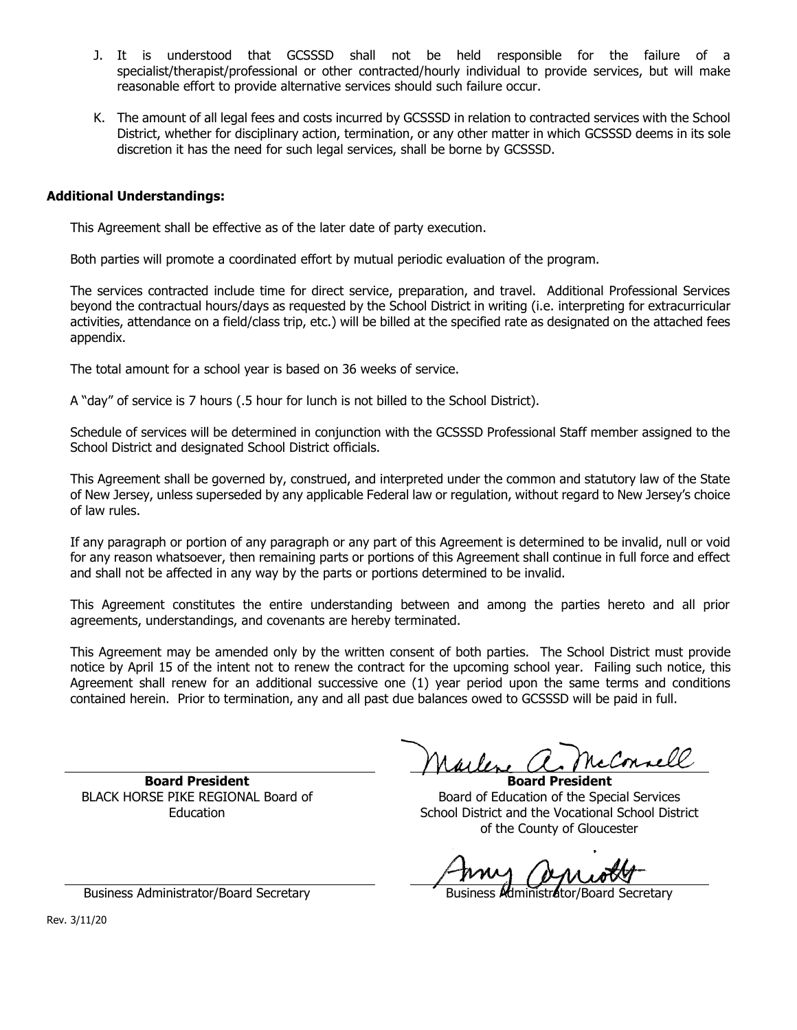- J. It is understood that GCSSSD shall not be held responsible for the failure of a specialist/therapist/professional or other contracted/hourly individual to provide services, but will make reasonable effort to provide alternative services should such failure occur.
- K. The amount of all legal fees and costs incurred by GCSSSD in relation to contracted services with the School District, whether for disciplinary action, termination, or any other matter in which GCSSSD deems in its sole discretion it has the need for such legal services, shall be borne by GCSSSD.

## **Additional Understandings:**

This Agreement shall be effective as of the later date of party execution.

Both parties will promote a coordinated effort by mutual periodic evaluation of the program.

The services contracted include time for direct service, preparation, and travel. Additional Professional Services beyond the contractual hours/days as requested by the School District in writing (i.e. interpreting for extracurricular activities, attendance on a field/class trip, etc.) will be billed at the specified rate as designated on the attached fees appendix.

The total amount for a school year is based on 36 weeks of service.

A "day" of service is 7 hours (.5 hour for lunch is not billed to the School District).

Schedule of services will be determined in conjunction with the GCSSSD Professional Staff member assigned to the School District and designated School District officials.

This Agreement shall be governed by, construed, and interpreted under the common and statutory law of the State of New Jersey, unless superseded by any applicable Federal law or regulation, without regard to New Jersey's choice of law rules.

If any paragraph or portion of any paragraph or any part of this Agreement is determined to be invalid, null or void for any reason whatsoever, then remaining parts or portions of this Agreement shall continue in full force and effect and shall not be affected in any way by the parts or portions determined to be invalid.

This Agreement constitutes the entire understanding between and among the parties hereto and all prior agreements, understandings, and covenants are hereby terminated.

This Agreement may be amended only by the written consent of both parties. The School District must provide notice by April 15 of the intent not to renew the contract for the upcoming school year. Failing such notice, this Agreement shall renew for an additional successive one (1) year period upon the same terms and conditions contained herein. Prior to termination, any and all past due balances owed to GCSSSD will be paid in full.

**Board President** BLACK HORSE PIKE REGIONAL Board of Education

cConnell  $\omega \nu$ 

**Board President** Board of Education of the Special Services School District and the Vocational School District of the County of Gloucester

Business Administrator/Board Secretary **Business Administrator/Board Secretary** 

Rev. 3/11/20